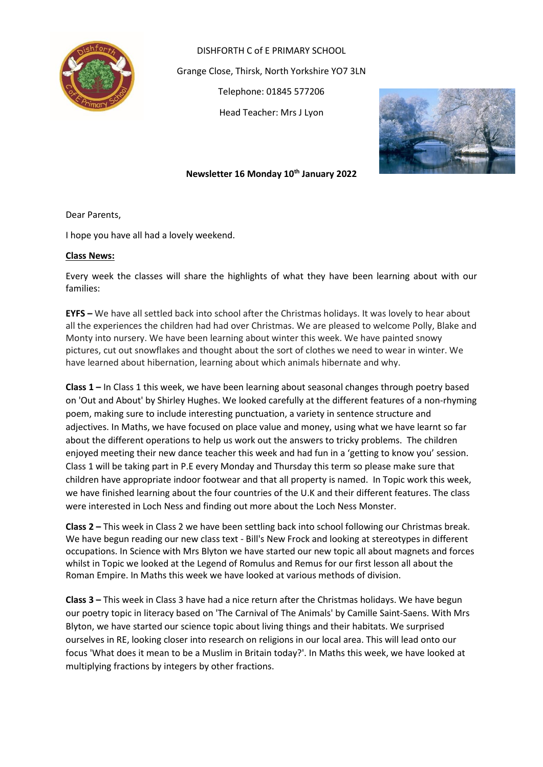

DISHFORTH C of E PRIMARY SCHOOL Grange Close, Thirsk, North Yorkshire YO7 3LN Telephone: 01845 577206 Head Teacher: Mrs J Lyon



### **Newsletter 16 Monday 10th January 2022**

Dear Parents,

I hope you have all had a lovely weekend.

### **Class News:**

Every week the classes will share the highlights of what they have been learning about with our families:

**EYFS –** We have all settled back into school after the Christmas holidays. It was lovely to hear about all the experiences the children had had over Christmas. We are pleased to welcome Polly, Blake and Monty into nursery. We have been learning about winter this week. We have painted snowy pictures, cut out snowflakes and thought about the sort of clothes we need to wear in winter. We have learned about hibernation, learning about which animals hibernate and why.

**Class 1 –** In Class 1 this week, we have been learning about seasonal changes through poetry based on 'Out and About' by Shirley Hughes. We looked carefully at the different features of a non-rhyming poem, making sure to include interesting punctuation, a variety in sentence structure and adjectives. In Maths, we have focused on place value and money, using what we have learnt so far about the different operations to help us work out the answers to tricky problems. The children enjoyed meeting their new dance teacher this week and had fun in a 'getting to know you' session. Class 1 will be taking part in P.E every Monday and Thursday this term so please make sure that children have appropriate indoor footwear and that all property is named. In Topic work this week, we have finished learning about the four countries of the U.K and their different features. The class were interested in Loch Ness and finding out more about the Loch Ness Monster.

**Class 2 –** This week in Class 2 we have been settling back into school following our Christmas break. We have begun reading our new class text - Bill's New Frock and looking at stereotypes in different occupations. In Science with Mrs Blyton we have started our new topic all about magnets and forces whilst in Topic we looked at the Legend of Romulus and Remus for our first lesson all about the Roman Empire. In Maths this week we have looked at various methods of division.

**Class 3 –** This week in Class 3 have had a nice return after the Christmas holidays. We have begun our poetry topic in literacy based on 'The Carnival of The Animals' by Camille Saint-Saens. With Mrs Blyton, we have started our science topic about living things and their habitats. We surprised ourselves in RE, looking closer into research on religions in our local area. This will lead onto our focus 'What does it mean to be a Muslim in Britain today?'. In Maths this week, we have looked at multiplying fractions by integers by other fractions.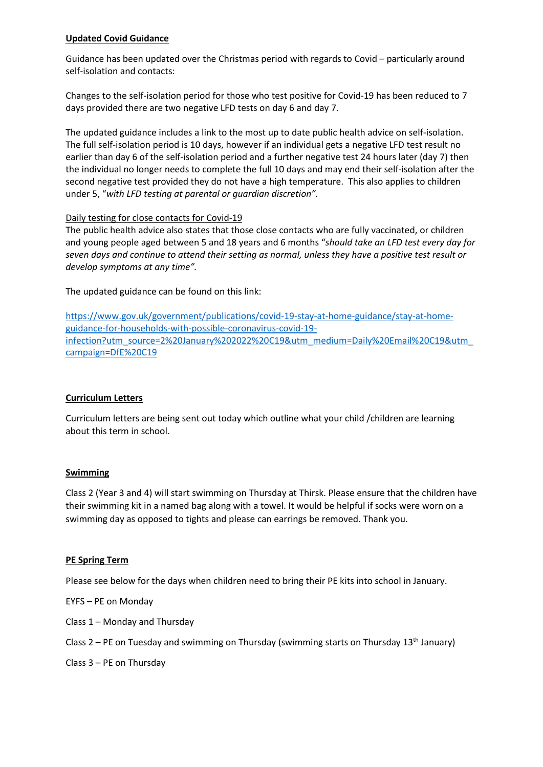## **Updated Covid Guidance**

Guidance has been updated over the Christmas period with regards to Covid – particularly around self-isolation and contacts:

Changes to the self-isolation period for those who test positive for Covid-19 has been reduced to 7 days provided there are two negative LFD tests on day 6 and day 7.

The updated guidance includes a link to the most up to date public health advice on self-isolation. The full self-isolation period is 10 days, however if an individual gets a negative LFD test result no earlier than day 6 of the self-isolation period and a further negative test 24 hours later (day 7) then the individual no longer needs to complete the full 10 days and may end their self-isolation after the second negative test provided they do not have a high temperature. This also applies to children under 5, "*with LFD testing at parental or guardian discretion".*

### Daily testing for close contacts for Covid-19

The public health advice also states that those close contacts who are fully vaccinated, or children and young people aged between 5 and 18 years and 6 months "*should take an LFD test every day for* seven days and continue to attend their setting as normal, unless they have a positive test result or *develop symptoms at any time".*

The updated guidance can be found on this link:

[https://www.gov.uk/government/publications/covid-19-stay-at-home-guidance/stay-at-home](https://www.gov.uk/government/publications/covid-19-stay-at-home-guidance/stay-at-home-guidance-for-households-with-possible-coronavirus-covid-19-infection?utm_source=2%20January%202022%20C19&utm_medium=Daily%20Email%20C19&utm_campaign=DfE%20C19)[guidance-for-households-with-possible-coronavirus-covid-19](https://www.gov.uk/government/publications/covid-19-stay-at-home-guidance/stay-at-home-guidance-for-households-with-possible-coronavirus-covid-19-infection?utm_source=2%20January%202022%20C19&utm_medium=Daily%20Email%20C19&utm_campaign=DfE%20C19) [infection?utm\\_source=2%20January%202022%20C19&utm\\_medium=Daily%20Email%20C19&utm\\_](https://www.gov.uk/government/publications/covid-19-stay-at-home-guidance/stay-at-home-guidance-for-households-with-possible-coronavirus-covid-19-infection?utm_source=2%20January%202022%20C19&utm_medium=Daily%20Email%20C19&utm_campaign=DfE%20C19) [campaign=DfE%20C19](https://www.gov.uk/government/publications/covid-19-stay-at-home-guidance/stay-at-home-guidance-for-households-with-possible-coronavirus-covid-19-infection?utm_source=2%20January%202022%20C19&utm_medium=Daily%20Email%20C19&utm_campaign=DfE%20C19)

## **Curriculum Letters**

Curriculum letters are being sent out today which outline what your child /children are learning about this term in school.

### **Swimming**

Class 2 (Year 3 and 4) will start swimming on Thursday at Thirsk. Please ensure that the children have their swimming kit in a named bag along with a towel. It would be helpful if socks were worn on a swimming day as opposed to tights and please can earrings be removed. Thank you.

### **PE Spring Term**

Please see below for the days when children need to bring their PE kits into school in January.

EYFS – PE on Monday

Class 1 – Monday and Thursday

Class 2 – PE on Tuesday and swimming on Thursday (swimming starts on Thursday 13<sup>th</sup> January)

Class 3 – PE on Thursday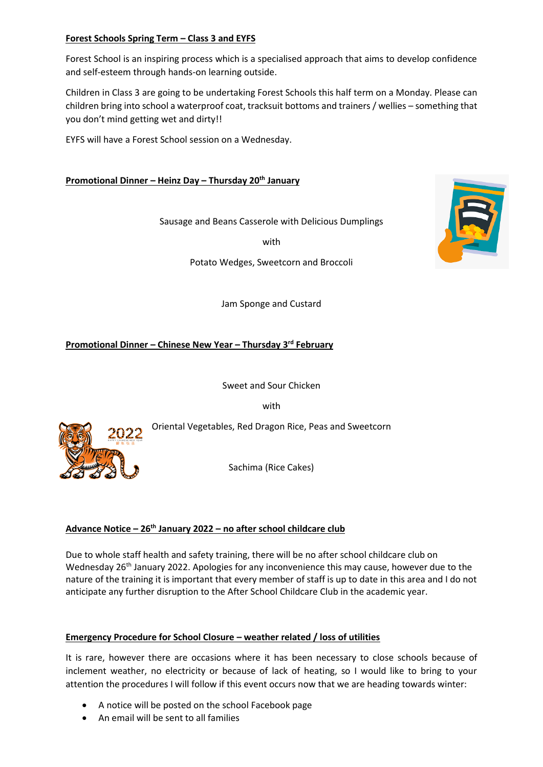## **Forest Schools Spring Term – Class 3 and EYFS**

Forest School is an inspiring process which is a specialised approach that aims to develop confidence and self-esteem through hands-on learning outside.

Children in Class 3 are going to be undertaking Forest Schools this half term on a Monday. Please can children bring into school a waterproof coat, tracksuit bottoms and trainers / wellies – something that you don't mind getting wet and dirty!!

EYFS will have a Forest School session on a Wednesday.

## **Promotional Dinner – Heinz Day – Thursday 20th January**

Sausage and Beans Casserole with Delicious Dumplings

with

Potato Wedges, Sweetcorn and Broccoli

Jam Sponge and Custard

**Promotional Dinner – Chinese New Year – Thursday 3rd February**

Sweet and Sour Chicken

with

Oriental Vegetables, Red Dragon Rice, Peas and Sweetcorn

Sachima (Rice Cakes)

## **Advance Notice – 26th January 2022 – no after school childcare club**

Due to whole staff health and safety training, there will be no after school childcare club on Wednesday 26<sup>th</sup> January 2022. Apologies for any inconvenience this may cause, however due to the nature of the training it is important that every member of staff is up to date in this area and I do not anticipate any further disruption to the After School Childcare Club in the academic year.

## **Emergency Procedure for School Closure – weather related / loss of utilities**

It is rare, however there are occasions where it has been necessary to close schools because of inclement weather, no electricity or because of lack of heating, so I would like to bring to your attention the procedures I will follow if this event occurs now that we are heading towards winter:

- A notice will be posted on the school Facebook page
- An email will be sent to all families



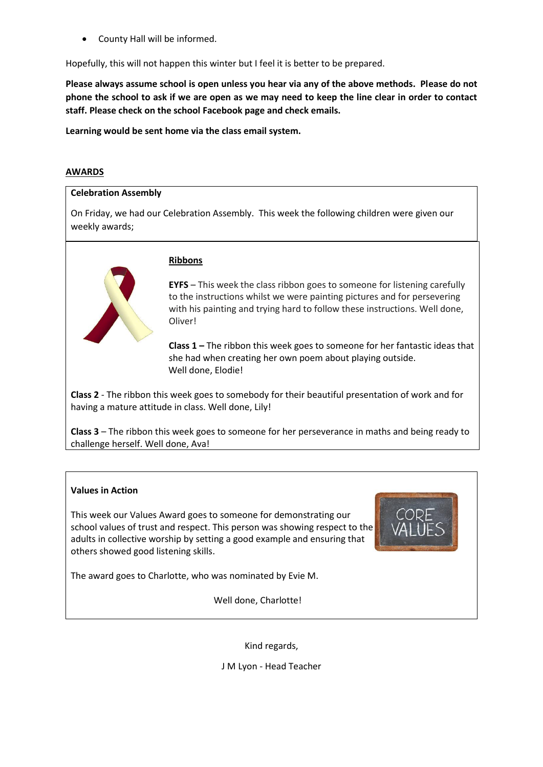• County Hall will be informed.

Hopefully, this will not happen this winter but I feel it is better to be prepared.

**Please always assume school is open unless you hear via any of the above methods. Please do not phone the school to ask if we are open as we may need to keep the line clear in order to contact staff. Please check on the school Facebook page and check emails.** 

**Learning would be sent home via the class email system.**

#### **AWARDS**

#### **Celebration Assembly**

On Friday, we had our Celebration Assembly. This week the following children were given our weekly awards;



#### **Ribbons**

**EYFS** – This week the class ribbon goes to someone for listening carefully to the instructions whilst we were painting pictures and for persevering with his painting and trying hard to follow these instructions. Well done, Oliver!

**Class 1 –** The ribbon this week goes to someone for her fantastic ideas that she had when creating her own poem about playing outside. Well done, Elodie!

**Class 2** - The ribbon this week goes to somebody for their beautiful presentation of work and for having a mature attitude in class. Well done, Lily!

**Class 3** – The ribbon this week goes to someone for her perseverance in maths and being ready to challenge herself. Well done, Ava!

### **Values in Action**

This week our Values Award goes to someone for demonstrating our school values of trust and respect. This person was showing respect to the adults in collective worship by setting a good example and ensuring that others showed good listening skills.



The award goes to Charlotte, who was nominated by Evie M.

Well done, Charlotte!

Kind regards,

J M Lyon - Head Teacher